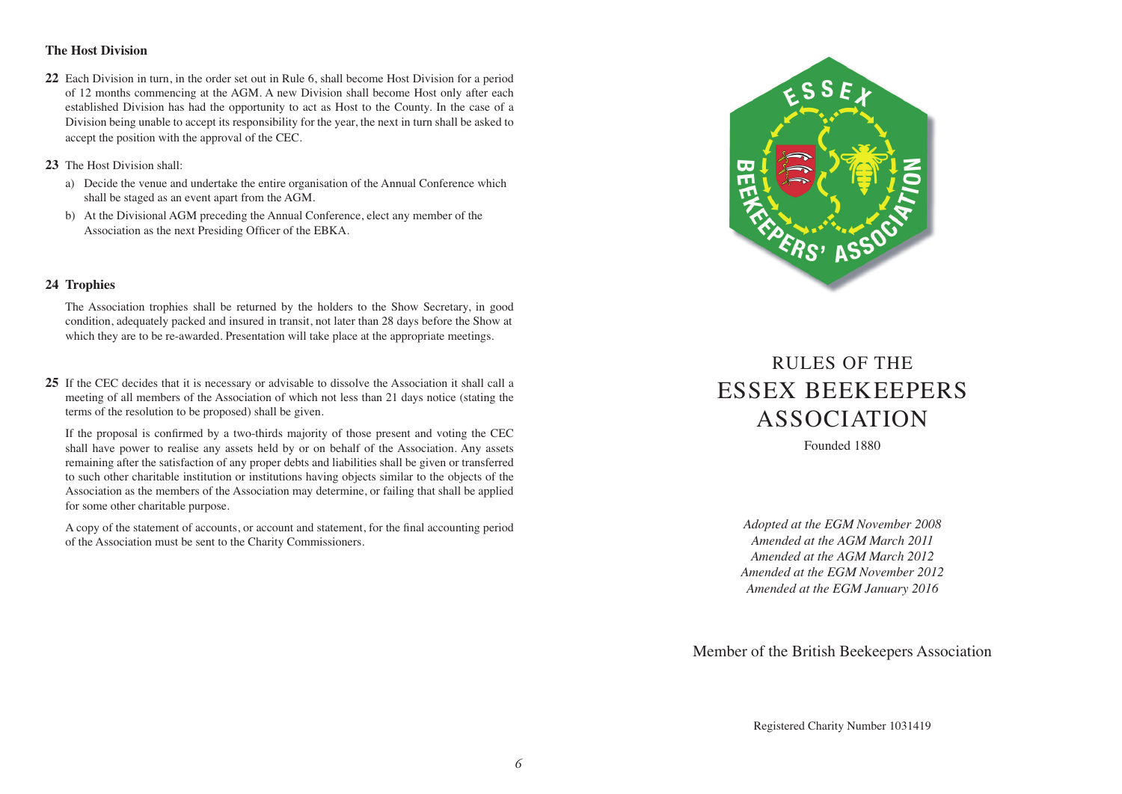# **The Host Division**

- **22** Each Division in turn, in the order set out in Rule 6, shall become Host Division for a period of 12 months commencing at the AGM. A new Division shall become Host only after each established Division has had the opportunity to act as Host to the County. In the case of a Division being unable to accept its responsibility for the year, the next in turn shall be asked to accept the position with the approval of the CEC.
- **23** The Host Division shall:
	- a) Decide the venue and undertake the entire organisation of the Annual Conference which shall be staged as an event apart from the AGM.
	- b) At the Divisional AGM preceding the Annual Conference, elect any member of the Association as the next Presiding Officer of the EBKA.

### **24 Trophies**

The Association trophies shall be returned by the holders to the Show Secretary, in good condition, adequately packed and insured in transit, not later than 28 days before the Show at which they are to be re-awarded. Presentation will take place at the appropriate meetings.

**25** If the CEC decides that it is necessary or advisable to dissolve the Association it shall call a meeting of all members of the Association of which not less than 21 days notice (stating the terms of the resolution to be proposed) shall be given.

If the proposal is confirmed by a two-thirds majority of those present and voting the CEC shall have power to realise any assets held by or on behalf of the Association. Any assets remaining after the satisfaction of any proper debts and liabilities shall be given or transferred to such other charitable institution or institutions having objects similar to the objects of the Association as the members of the Association may determine, or failing that shall be applied for some other charitable purpose.

A copy of the statement of accounts, or account and statement, for the final accounting period of the Association must be sent to the Charity Commissioners.



# RULES OF THE ESSEX BEEKEEPERS ASSOCIATION

Founded 1880

*Adopted at the EGM November 2008 Amended at the AGM March 2011 Amended at the AGM March 2012 Amended at the EGM November 2012 Amended at the EGM January 2016*

Member of the British Beekeepers Association

Registered Charity Number 1031419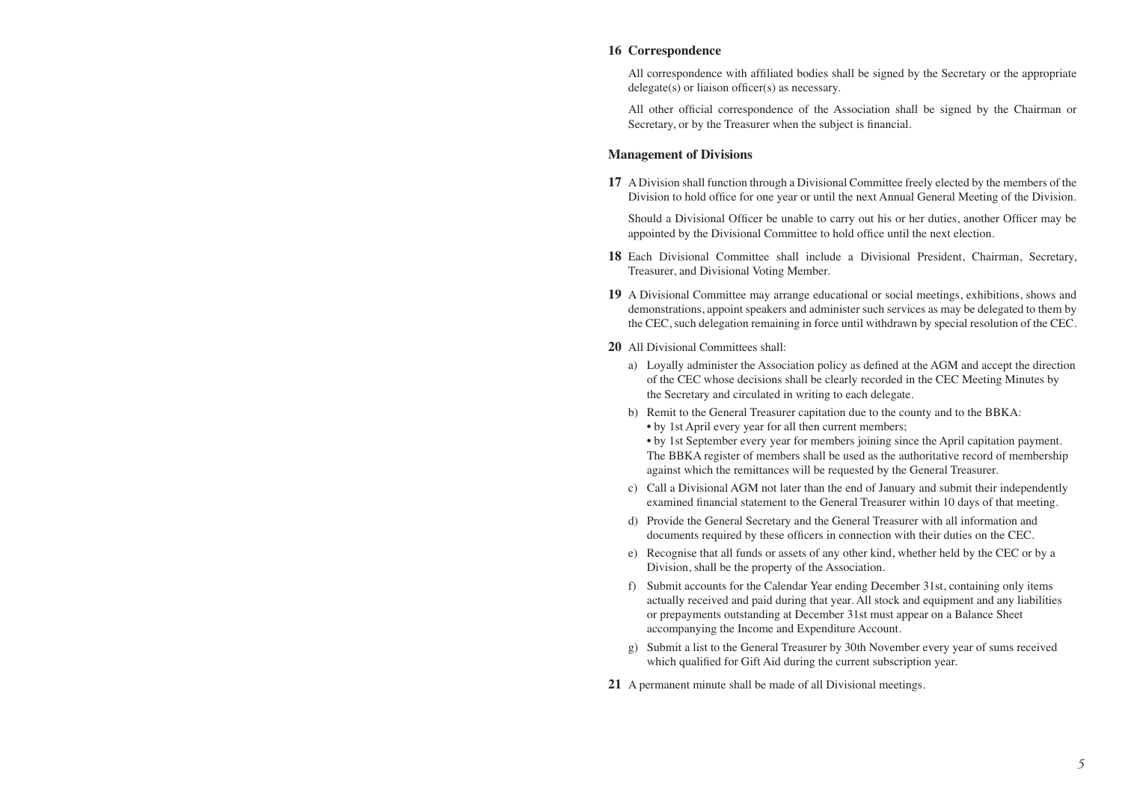#### **16 Correspondence**

 All correspondence with affiliated bodies shall be signed by the Secretary or the appropriate delegate(s) or liaison officer(s) as necessary.

 All other official correspondence of the Association shall be signed by the Chairman or Secretary, or by the Treasurer when the subject is financial.

#### **Management of Divisions**

**17** A Division shall function through a Divisional Committee freely elected by the members of the Division to hold office for one year or until the next Annual General Meeting of the Division.

 Should a Divisional Officer be unable to carry out his or her duties, another Officer may be appointed by the Divisional Committee to hold office until the next election.

- **18** Each Divisional Committee shall include a Divisional President, Chairman, Secretary, Treasurer, and Divisional Voting Member.
- **19** A Divisional Committee may arrange educational or social meetings, exhibitions, shows and demonstrations, appoint speakers and administer such services as may be delegated to them by the CEC, such delegation remaining in force until withdrawn by special resolution of the CEC.
- **20** All Divisional Committees shall:
	- a) Loyally administer the Association policy as defined at the AGM and accept the direction of the CEC whose decisions shall be clearly recorded in the CEC Meeting Minutes by the Secretary and circulated in writing to each delegate.
	- b) Remit to the General Treasurer capitation due to the county and to the BBKA:
		- by 1st April every year for all then current members;
		- by 1st September every year for members joining since the April capitation payment. The BBKA register of members shall be used as the authoritative record of membership against which the remittances will be requested by the General Treasurer.
	- c) Call a Divisional AGM not later than the end of January and submit their independently examined financial statement to the General Treasurer within 10 days of that meeting.
	- d) Provide the General Secretary and the General Treasurer with all information and documents required by these officers in connection with their duties on the CEC.
	- e) Recognise that all funds or assets of any other kind, whether held by the CEC or by a Division, shall be the property of the Association.
	- f) Submit accounts for the Calendar Year ending December 31st, containing only items actually received and paid during that year. All stock and equipment and any liabilities or prepayments outstanding at December 31st must appear on a Balance Sheet accompanying the Income and Expenditure Account.
	- g) Submit a list to the General Treasurer by 30th November every year of sums received which qualified for Gift Aid during the current subscription year.
- **21** A permanent minute shall be made of all Divisional meetings.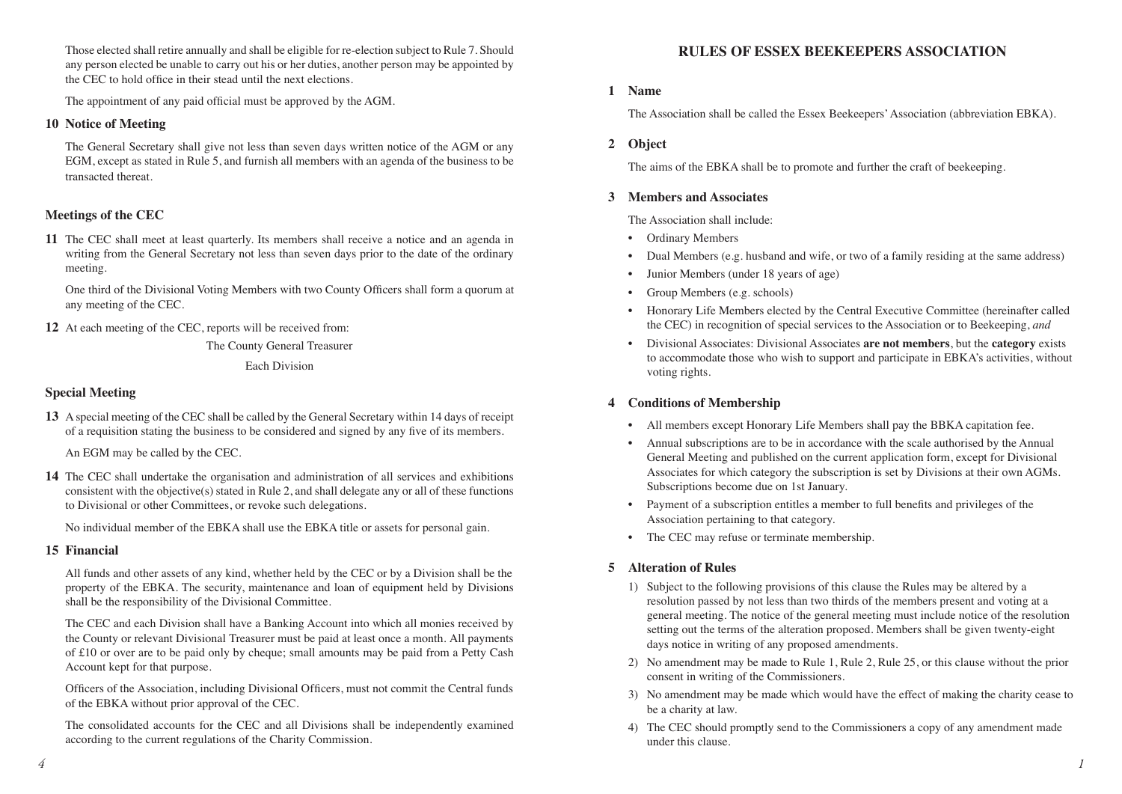Those elected shall retire annually and shall be eligible for re-election subject to Rule 7. Should any person elected be unable to carry out his or her duties, another person may be appointed by the CEC to hold office in their stead until the next elections.

The appointment of any paid official must be approved by the AGM.

### **10 Notice of Meeting**

The General Secretary shall give not less than seven days written notice of the AGM or any EGM, except as stated in Rule 5, and furnish all members with an agenda of the business to be transacted thereat.

# **Meetings of the CEC**

**11** The CEC shall meet at least quarterly. Its members shall receive a notice and an agenda in writing from the General Secretary not less than seven days prior to the date of the ordinary meeting.

One third of the Divisional Voting Members with two County Officers shall form a quorum at any meeting of the CEC.

**12** At each meeting of the CEC, reports will be received from:

The County General Treasurer Each Division

# **Special Meeting**

**13** A special meeting of the CEC shall be called by the General Secretary within 14 days of receipt of a requisition stating the business to be considered and signed by any five of its members.

An EGM may be called by the CEC.

**14** The CEC shall undertake the organisation and administration of all services and exhibitions consistent with the objective(s) stated in Rule 2, and shall delegate any or all of these functions to Divisional or other Committees, or revoke such delegations.

No individual member of the EBKA shall use the EBKA title or assets for personal gain.

#### **15 Financial**

 All funds and other assets of any kind, whether held by the CEC or by a Division shall be the property of the EBKA. The security, maintenance and loan of equipment held by Divisions shall be the responsibility of the Divisional Committee.

The CEC and each Division shall have a Banking Account into which all monies received by the County or relevant Divisional Treasurer must be paid at least once a month. All payments of £10 or over are to be paid only by cheque; small amounts may be paid from a Petty Cash Account kept for that purpose.

Officers of the Association, including Divisional Officers, must not commit the Central funds of the EBKA without prior approval of the CEC.

The consolidated accounts for the CEC and all Divisions shall be independently examined according to the current regulations of the Charity Commission.

# **RULES OF ESSEX BEEKEEPERS ASSOCIATION**

#### **1 Name**

The Association shall be called the Essex Beekeepers'Association (abbreviation EBKA).

#### **2 Object**

The aims of the EBKA shall be to promote and further the craft of beekeeping.

### **3 Members and Associates**

The Association shall include:

- Ordinary Members
- Dual Members (e.g. husband and wife, or two of a family residing at the same address)
- Junior Members (under 18 years of age)
- Group Members (e.g. schools)
- Honorary Life Members elected by the Central Executive Committee (hereinafter called the CEC) in recognition of special services to the Association or to Beekeeping, *and*
- Divisional Associates: Divisional Associates **are not members**, but the **category** exists to accommodate those who wish to support and participate in EBKA's activities, without voting rights.

# **4 Conditions of Membership**

- All members except Honorary Life Members shall pay the BBKA capitation fee.
- Annual subscriptions are to be in accordance with the scale authorised by the Annual General Meeting and published on the current application form, except for Divisional Associates for which category the subscription is set by Divisions at their own AGMs. Subscriptions become due on 1st January.
- Payment of a subscription entitles a member to full benefits and privileges of the Association pertaining to that category.
- The CEC may refuse or terminate membership.

# **5 Alteration of Rules**

- 1) Subject to the following provisions of this clause the Rules may be altered by a resolution passed by not less than two thirds of the members present and voting at a general meeting. The notice of the general meeting must include notice of the resolution setting out the terms of the alteration proposed. Members shall be given twenty-eight days notice in writing of any proposed amendments.
- 2) No amendment may be made to Rule 1, Rule 2, Rule 25, or this clause without the prior consent in writing of the Commissioners.
- 3) No amendment may be made which would have the effect of making the charity cease to be a charity at law.
- 4) The CEC should promptly send to the Commissioners a copy of any amendment made under this clause.